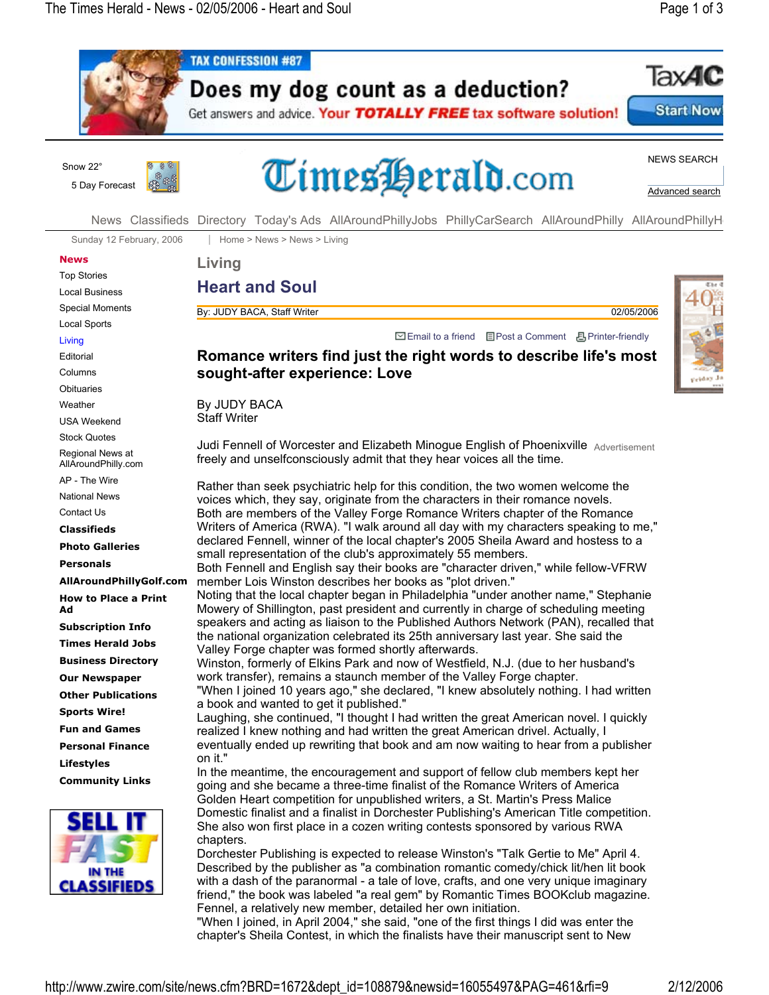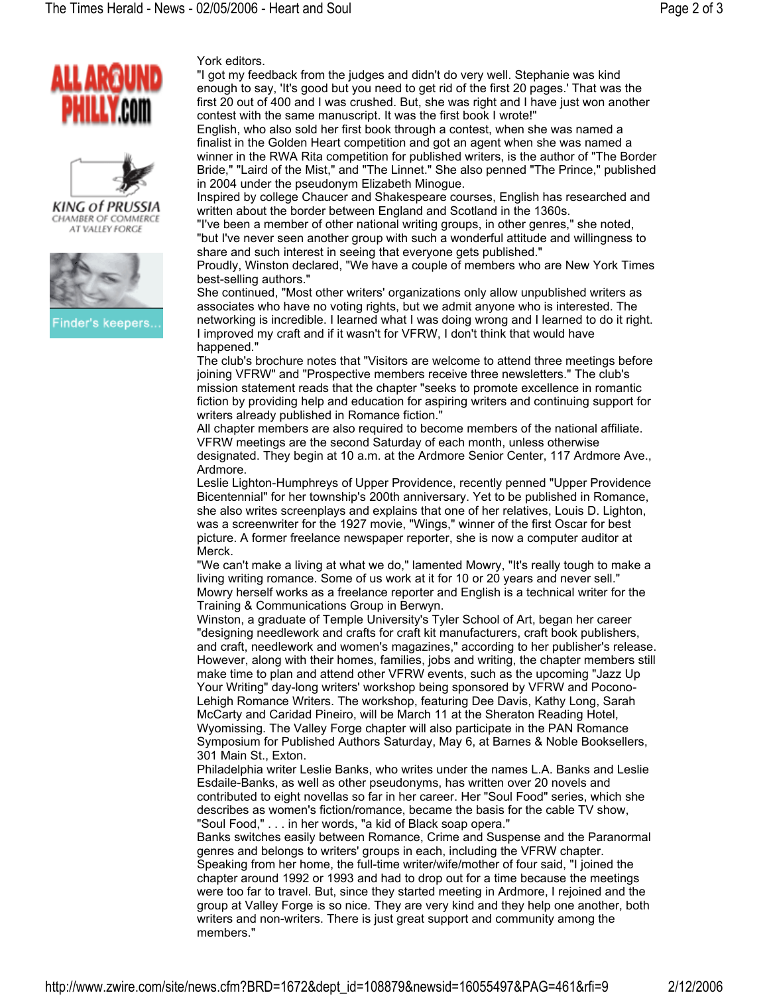



CHAMBER OF COMMERCE AT VALLEY FORCE



Finder's keepers.

York editors.

"I got my feedback from the judges and didn't do very well. Stephanie was kind enough to say, 'It's good but you need to get rid of the first 20 pages.' That was the first 20 out of 400 and I was crushed. But, she was right and I have just won another contest with the same manuscript. It was the first book I wrote!"

English, who also sold her first book through a contest, when she was named a finalist in the Golden Heart competition and got an agent when she was named a winner in the RWA Rita competition for published writers, is the author of "The Border Bride," "Laird of the Mist," and "The Linnet." She also penned "The Prince," published in 2004 under the pseudonym Elizabeth Minogue.

Inspired by college Chaucer and Shakespeare courses, English has researched and written about the border between England and Scotland in the 1360s.

"I've been a member of other national writing groups, in other genres," she noted, "but I've never seen another group with such a wonderful attitude and willingness to share and such interest in seeing that everyone gets published."

Proudly, Winston declared, "We have a couple of members who are New York Times best-selling authors."

She continued, "Most other writers' organizations only allow unpublished writers as associates who have no voting rights, but we admit anyone who is interested. The networking is incredible. I learned what I was doing wrong and I learned to do it right. I improved my craft and if it wasn't for VFRW, I don't think that would have happened."

The club's brochure notes that "Visitors are welcome to attend three meetings before joining VFRW" and "Prospective members receive three newsletters." The club's mission statement reads that the chapter "seeks to promote excellence in romantic fiction by providing help and education for aspiring writers and continuing support for writers already published in Romance fiction."

All chapter members are also required to become members of the national affiliate. VFRW meetings are the second Saturday of each month, unless otherwise designated. They begin at 10 a.m. at the Ardmore Senior Center, 117 Ardmore Ave., Ardmore.

Leslie Lighton-Humphreys of Upper Providence, recently penned "Upper Providence Bicentennial" for her township's 200th anniversary. Yet to be published in Romance, she also writes screenplays and explains that one of her relatives, Louis D. Lighton, was a screenwriter for the 1927 movie, "Wings," winner of the first Oscar for best picture. A former freelance newspaper reporter, she is now a computer auditor at Merck.

"We can't make a living at what we do," lamented Mowry, "It's really tough to make a living writing romance. Some of us work at it for 10 or 20 years and never sell." Mowry herself works as a freelance reporter and English is a technical writer for the Training & Communications Group in Berwyn.

Winston, a graduate of Temple University's Tyler School of Art, began her career "designing needlework and crafts for craft kit manufacturers, craft book publishers, and craft, needlework and women's magazines," according to her publisher's release. However, along with their homes, families, jobs and writing, the chapter members still make time to plan and attend other VFRW events, such as the upcoming "Jazz Up Your Writing" day-long writers' workshop being sponsored by VFRW and Pocono-Lehigh Romance Writers. The workshop, featuring Dee Davis, Kathy Long, Sarah McCarty and Caridad Pineiro, will be March 11 at the Sheraton Reading Hotel, Wyomissing. The Valley Forge chapter will also participate in the PAN Romance Symposium for Published Authors Saturday, May 6, at Barnes & Noble Booksellers, 301 Main St., Exton.

Philadelphia writer Leslie Banks, who writes under the names L.A. Banks and Leslie Esdaile-Banks, as well as other pseudonyms, has written over 20 novels and contributed to eight novellas so far in her career. Her "Soul Food" series, which she describes as women's fiction/romance, became the basis for the cable TV show, "Soul Food," . . . in her words, "a kid of Black soap opera."

Banks switches easily between Romance, Crime and Suspense and the Paranormal genres and belongs to writers' groups in each, including the VFRW chapter. Speaking from her home, the full-time writer/wife/mother of four said, "I joined the chapter around 1992 or 1993 and had to drop out for a time because the meetings were too far to travel. But, since they started meeting in Ardmore, I rejoined and the group at Valley Forge is so nice. They are very kind and they help one another, both writers and non-writers. There is just great support and community among the members."